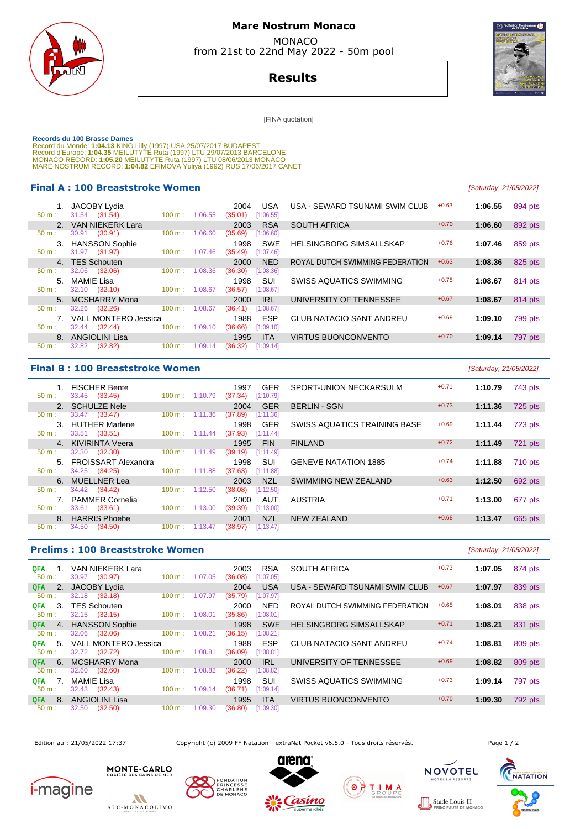

## **Mare Nostrum Monaco**  MONACO

from 21st to 22nd May 2022 - 50m pool

# **Results**

[FINA quotation]

Records du 100 Brasse Dames<br>Record du Monde: 1:04.13 KING Lilly (1997) USA 25/07/2017 BUDAPEST<br>Record d'Europe: 1:04.35 MEILUTYTE Ruta (1997) LTU 29/07/2013 BARCELONE<br>Record d'Europe: 1:05.20 MEILUTYTE Ruta (1997) LTU 08/0

#### **Final A : 100 Breaststroke Women Example 2018 Caturday** [Saturday, 2022]

|                  |       | 1. JACOBY Lydia         |                   |         | 2004    | USA        | U.     |
|------------------|-------|-------------------------|-------------------|---------|---------|------------|--------|
| $50 m$ :         |       | 31.54 (31.54)           | 100 m:            | 1:06.55 | (35.01) | [1:06.55]  |        |
|                  |       | 2. VAN NIEKERK Lara     |                   |         | 2003    | <b>RSA</b> | S(     |
| 50 m:            |       | 30.91 (30.91)           | 100 m:            | 1:06.60 | (35.69) | [1:06.60]  |        |
|                  |       | 3. HANSSON Sophie       |                   |         | 1998    | <b>SWE</b> | н      |
| $50 \text{ m}$ : |       | 31.97 (31.97)           | 100 m:            | 1:07.46 | (35.49) | [1:07.46]  |        |
|                  |       | 4. TES Schouten         |                   |         | 2000    | <b>NED</b> | R(     |
| $50 \text{ m}$ : |       | 32.06 (32.06)           | 100 m:            | 1:08.36 | (36.30) | [1:08.36]  |        |
|                  |       | 5. MAMIE Lisa           |                   |         | 1998    | SUI        | S'     |
| $50 \text{ m}$ : |       | 32.10 (32.10)           | 100 m:            | 1:08.67 | (36.57) | [1:08.67]  |        |
|                  |       | 5. MCSHARRY Mona        |                   |         | 2000    | IRL        | $\cup$ |
| $50 \text{ m}$ : |       | 32.26 (32.26)           | $100 \text{ m}$ : | 1:08.67 | (36.41) | [1:08.67]  |        |
|                  |       | 7. VALL MONTERO Jessica |                   |         | 1988    | <b>ESP</b> | C      |
| $50 m$ :         |       | 32.44 (32.44) 100 m :   |                   | 1:09.10 | (36.66) | [1:09.10]  |        |
| 8.               |       | ANGIOLINI Lisa          |                   |         | 1995    | <b>ITA</b> | $\vee$ |
| 50 m:            | 32.82 | (32.82)                 | 100 m:            | 1:09.14 | (36.32) | [1:09.14]  |        |
|                  |       |                         |                   |         |         |            |        |

|    |                 | A: IOU Breaststroke women   |                      |          |                 |                         |                                 |         | <i>(Saturday, 21/05/2022)</i> |         |
|----|-----------------|-----------------------------|----------------------|----------|-----------------|-------------------------|---------------------------------|---------|-------------------------------|---------|
|    | 31.54 (31.54)   | JACOBY Lydia                | $100 \text{ m}$ :    | 1:06.55  | 2004<br>(35.01) | <b>USA</b><br>[1:06.55] | USA - SEWARD TSUNAMI SWIM CLUB  | $+0.63$ | 1:06.55                       | 894 pts |
|    |                 | 2. VAN NIEKERK Lara         |                      |          | 2003            | <b>RSA</b>              | <b>SOUTH AFRICA</b>             | $+0.70$ | 1:06.60                       | 892 pts |
|    | 30.91           | (30.91)                     | 100 m:               | 1:06.60  | (35.69)         | [1:06.60]               |                                 |         |                               |         |
|    |                 | 3. HANSSON Sophie           |                      |          | 1998            | <b>SWE</b>              | <b>HELSINGBORG SIMSALLSKAP</b>  | $+0.76$ | 1:07.46                       | 859 pts |
|    | 31.97 (31.97)   |                             | 100 m:               | 1:07.46  | (35.49)         | [1:07.46]               |                                 |         |                               |         |
|    | 4. TES Schouten |                             |                      |          | 2000            | <b>NED</b>              | ROYAL DUTCH SWIMMING FEDERATION | $+0.63$ | 1:08.36                       | 825 pts |
|    | 32.06           | (32.06)                     | 100 m:               | 1:08.36  | (36.30)         | [1:08.36]               |                                 |         |                               |         |
|    | 5. MAMIE Lisa   |                             |                      |          | 1998            | <b>SUI</b>              | <b>SWISS AQUATICS SWIMMING</b>  | $+0.75$ | 1:08.67                       | 814 pts |
|    | 32.10 (32.10)   |                             | 100 m:               | 1:08.67  | (36.57)         | [1:08.67]               |                                 |         |                               |         |
|    |                 | 5. MCSHARRY Mona            |                      |          | 2000            | <b>IRL</b>              | UNIVERSITY OF TENNESSEE         | $+0.67$ | 1:08.67                       | 814 pts |
|    | 32.26           | (32.26)                     | 100 m:               | 1:08.67  | (36.41)         | [1:08.67]               |                                 |         |                               |         |
| 7. |                 | <b>VALL MONTERO Jessica</b> |                      |          | 1988            | <b>ESP</b>              | <b>CLUB NATACIO SANT ANDREU</b> | $+0.69$ | 1:09.10                       | 799 pts |
|    | 32.44 (32.44)   |                             | 100 m:               | 1:09.10  | (36.66)         | [1:09.10]               |                                 |         |                               |         |
|    |                 | 8. ANGIOLINI Lisa           |                      |          | 1995            | <b>ITA</b>              | <b>VIRTUS BUONCONVENTO</b>      | $+0.70$ | 1:09.14                       | 797 pts |
|    |                 |                             | $\sim$ $\sim$ $\sim$ | $\cdots$ |                 |                         |                                 |         |                               |         |

### **Final B : 100 Breaststroke Women**

|                  | 1. FISCHER Bente       |                   |                                  | 1997                  | <b>GER</b> |
|------------------|------------------------|-------------------|----------------------------------|-----------------------|------------|
| $50 \text{ m}$ : | 33.45 (33.45)          |                   | 100 m: 1:10.79 (37.34) [1:10.79] |                       |            |
|                  | 2. SCHULZE Nele        |                   |                                  | 2004                  | <b>GER</b> |
| $50~{\rm m}$ :   | 33.47 (33.47)          | $100 \text{ m}$ : | 1:11.36                          | $(37.89)$ [1:11.36]   |            |
| 3 <sub>1</sub>   | <b>HUTHER Marlene</b>  |                   |                                  | 1998                  | <b>GER</b> |
| 50 m:            | 33.51 (33.51)          |                   | $100 \text{ m}: 1:11.44$         | $(37.93)$ [1:11.44]   |            |
|                  | 4. KIVIRINTA Veera     |                   |                                  | 1995                  | <b>FIN</b> |
| $50 \text{ m}$ : | 32.30 (32.30)          | $100~{\rm m}$ :   | 1:11.49                          | $(39.19)$ $[1:11.49]$ |            |
|                  | 5. FROISSART Alexandra |                   |                                  | 1998                  | SUI        |
| $50 \text{ m}$ : | 34.25 (34.25)          |                   | $100 \text{ m}: 1:11.88$         | $(37.63)$ [1:11.88]   |            |
|                  | 6. MUELLNER Lea        |                   |                                  | 2003                  | <b>NZL</b> |
| $50 \text{ m}$ : | 34.42 (34.42)          |                   | $100 \text{ m}$ : 1:12.50        | (38.08)               | [1:12.50]  |
|                  | 7. PAMMER Cornelia     |                   |                                  | 2000                  | AUT        |
| 50 m:            | 33.61 (33.61)          |                   | $100 \text{ m}$ : 1:13.00        | $(39.39)$ $[1:13.00]$ |            |
|                  | 8. HARRIS Phoebe       |                   |                                  | 2001                  | N71        |
| $50 m$ :         | 34.50<br>(34.50)       | 100 m:            | 1:13.47                          | (38.97)               | [1:13.47]  |
|                  |                        |                   |                                  |                       |            |

|  | <b>B: 100 Breaststroke Women</b>        |                       |         |                 |                         |                              |         | [Saturday, 21/05/2022] |           |
|--|-----------------------------------------|-----------------------|---------|-----------------|-------------------------|------------------------------|---------|------------------------|-----------|
|  | 1. FISCHER Bente<br>33.45 (33.45)       | $100 \text{ m}$ :     | 1:10.79 | 1997<br>(37.34) | <b>GER</b><br>[1:10.79] | SPORT-UNION NECKARSULM       | $+0.71$ | 1:10.79                | 743 pts   |
|  | 2. SCHULZE Nele                         |                       |         | 2004            | <b>GER</b>              | <b>BERLIN - SGN</b>          | $+0.73$ | 1:11.36                | 725 pts   |
|  | 33.47 (33.47)                           | $100 \text{ m}$ :     | 1:11.36 | (37.89)         | [1:11.36]               |                              |         |                        |           |
|  | 3. HUTHER Marlene<br>33.51 (33.51)      | $100 \text{ m}$ :     | 1:11.44 | 1998<br>(37.93) | <b>GER</b><br>[1:11.44] | SWISS AQUATICS TRAINING BASE | $+0.69$ | 1:11.44                | $723$ pts |
|  | 4. KIVIRINTA Veera                      |                       |         | 1995            | <b>FIN</b>              | <b>FINLAND</b>               | $+0.72$ | 1:11.49                | 721 pts   |
|  | 32.30 (32.30)                           | 100 m:                | 1:11.49 | (39.19)         | [1:11.49]               |                              |         |                        |           |
|  | 5. FROISSART Alexandra<br>34.25 (34.25) | $100 \text{ m}$ :     | 1:11.88 | 1998<br>(37.63) | SUI<br>[1:11.88]        | <b>GENEVE NATATION 1885</b>  | $+0.74$ | 1:11.88                | 710 pts   |
|  | 6. MUELLNER Lea                         |                       |         | 2003            | <b>NZL</b>              | SWIMMING NEW ZEALAND         | $+0.63$ | 1:12.50                | 692 pts   |
|  | 34.42 (34.42)                           | 100 m:                | 1:12.50 | (38.08)         | [1:12.50]               |                              |         |                        |           |
|  | 7. PAMMER Cornelia<br>33.61 (33.61)     | $100 \text{ m}$ :     | 1:13.00 | 2000<br>(39.39) | AUT<br>[1:13.00]        | <b>AUSTRIA</b>               | $+0.71$ | 1:13.00                | 677 pts   |
|  | 8. HARRIS Phoebe                        |                       |         | 2001            | <b>NZL</b>              | <b>NEW ZEALAND</b>           | $+0.68$ | 1:13.47                | 665 pts   |
|  | $94E0 = 194E0$                          | $100 \, \mathrm{m}$ . | 4.49A7  | 71 - 11:40 051  |                         |                              |         |                        |           |

| <b>Prelims: 100 Breaststroke Women</b><br>[Saturday, 21/05/2022] |                                             |                   |         |                 |                         |                                 |         |         |         |  |  |  |
|------------------------------------------------------------------|---------------------------------------------|-------------------|---------|-----------------|-------------------------|---------------------------------|---------|---------|---------|--|--|--|
| <b>QFA</b><br>$50 m$ :                                           | <b>VAN NIEKERK Lara</b><br>(30.97)<br>30.97 | $100 \text{ m}$ : | 1:07.05 | 2003<br>(36.08) | <b>RSA</b><br>[1:07.05] | <b>SOUTH AFRICA</b>             | $+0.73$ | 1:07.05 | 874 pts |  |  |  |
| <b>QFA</b><br>2.                                                 | <b>JACOBY Lydia</b>                         |                   |         | 2004            | <b>USA</b>              | USA - SEWARD TSUNAMI SWIM CLUB  | $+0.67$ | 1:07.97 | 839 pts |  |  |  |
| 50 m:                                                            | (32.18)<br>32.18                            | 100 m:            | 1:07.97 | (35.79)         | [1:07.97]               |                                 |         |         |         |  |  |  |
| 3.<br>QFA.                                                       | <b>TES Schouten</b>                         |                   |         | 2000            | <b>NED</b>              | ROYAL DUTCH SWIMMING FEDERATION | $+0.65$ | 1:08.01 | 838 pts |  |  |  |
| 50 m:                                                            | 32.15 (32.15)                               | 100 m:            | 1:08.01 | (35.86)         | [1:08.01]               |                                 |         |         |         |  |  |  |
| QFA.<br>4.                                                       | <b>HANSSON Sophie</b>                       |                   |         | 1998            | <b>SWE</b>              | <b>HELSINGBORG SIMSALLSKAP</b>  | $+0.71$ | 1:08.21 | 831 pts |  |  |  |
| $50 m$ :                                                         | 32.06<br>(32.06)                            | 100 m:            | 1:08.21 | (36.15)         | [1:08.21]               |                                 |         |         |         |  |  |  |
| QFA<br>5.                                                        | <b>VALL MONTERO Jessica</b>                 |                   |         | 1988            | <b>ESP</b>              | CLUB NATACIO SANT ANDREU        | $+0.74$ | 1:08.81 | 809 pts |  |  |  |
| 50 m:                                                            | 32.72<br>(32.72)                            | 100 m:            | 1:08.81 | (36.09)         | [1:08.81]               |                                 |         |         |         |  |  |  |
| <b>QFA</b><br>6.                                                 | <b>MCSHARRY Mona</b>                        |                   |         | 2000            | <b>IRL</b>              | UNIVERSITY OF TENNESSEE         | $+0.69$ | 1:08.82 | 809 pts |  |  |  |
| 50 m:                                                            | (32.60)<br>32.60                            | 100 m:            | 1:08.82 | (36.22)         | [1:08.82]               |                                 |         |         |         |  |  |  |
| QFA                                                              | <b>MAMIE Lisa</b>                           |                   |         | 1998            | <b>SUI</b>              | <b>SWISS AQUATICS SWIMMING</b>  | $+0.73$ | 1:09.14 | 797 pts |  |  |  |
| 50 m:                                                            | 32.43 (32.43)                               | 100 m:            | 1:09.14 | (36.71)         | [1:09.14]               |                                 |         |         |         |  |  |  |
| QFA.<br>8.                                                       | <b>ANGIOLINI Lisa</b>                       |                   |         | 1995            | <b>ITA</b>              | <b>VIRTUS BUONCONVENTO</b>      | $+0.79$ | 1:09.30 | 792 pts |  |  |  |
| 50 m:                                                            | 32.50<br>(32.50)                            | 100 m:            | 1:09.30 | (36.80)         | [1:09.30]               |                                 |         |         |         |  |  |  |

Edition au : 21/05/2022 17:37 Copyright (c) 2009 FF Natation - extraNat Pocket v6.5.0 - Tous droits réservés. Page 1 / 2





MONTE . CARLO